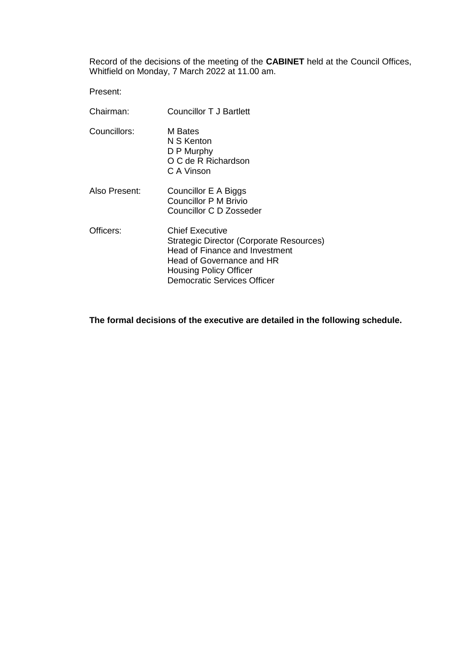Record of the decisions of the meeting of the **CABINET** held at the Council Offices, Whitfield on Monday, 7 March 2022 at 11.00 am.

Present:

| Chairman:     | <b>Councillor T J Bartlett</b>                                                                                                                                                                           |
|---------------|----------------------------------------------------------------------------------------------------------------------------------------------------------------------------------------------------------|
| Councillors:  | M Bates<br>N S Kenton<br>D P Murphy<br>O C de R Richardson<br>C A Vinson                                                                                                                                 |
| Also Present: | Councillor E A Biggs<br>Councillor P M Brivio<br>Councillor C D Zosseder                                                                                                                                 |
| Officers:     | <b>Chief Executive</b><br>Strategic Director (Corporate Resources)<br>Head of Finance and Investment<br>Head of Governance and HR<br><b>Housing Policy Officer</b><br><b>Democratic Services Officer</b> |

**The formal decisions of the executive are detailed in the following schedule.**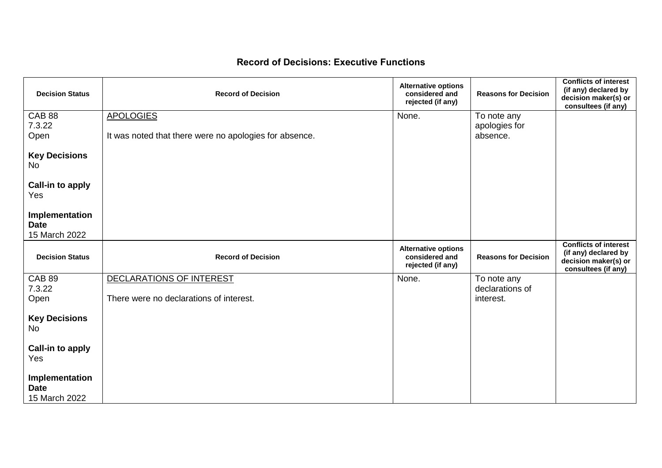## **Record of Decisions: Executive Functions**

| <b>Decision Status</b>                         | <b>Record of Decision</b>                              | <b>Alternative options</b><br>considered and<br>rejected (if any) | <b>Reasons for Decision</b>  | <b>Conflicts of interest</b><br>(if any) declared by<br>decision maker(s) or<br>consultees (if any) |
|------------------------------------------------|--------------------------------------------------------|-------------------------------------------------------------------|------------------------------|-----------------------------------------------------------------------------------------------------|
| <b>CAB 88</b><br>7.3.22                        | <b>APOLOGIES</b>                                       | None.                                                             | To note any                  |                                                                                                     |
| Open                                           | It was noted that there were no apologies for absence. |                                                                   | apologies for<br>absence.    |                                                                                                     |
| <b>Key Decisions</b><br>No                     |                                                        |                                                                   |                              |                                                                                                     |
| <b>Call-in to apply</b><br>Yes                 |                                                        |                                                                   |                              |                                                                                                     |
| Implementation<br><b>Date</b><br>15 March 2022 |                                                        |                                                                   |                              |                                                                                                     |
| <b>Decision Status</b>                         | <b>Record of Decision</b>                              | <b>Alternative options</b><br>considered and                      | <b>Reasons for Decision</b>  | <b>Conflicts of interest</b><br>(if any) declared by                                                |
|                                                |                                                        | rejected (if any)                                                 |                              | decision maker(s) or<br>consultees (if any)                                                         |
| <b>CAB 89</b>                                  | DECLARATIONS OF INTEREST                               | None.                                                             | To note any                  |                                                                                                     |
| 7.3.22<br>Open                                 | There were no declarations of interest.                |                                                                   | declarations of<br>interest. |                                                                                                     |
| <b>Key Decisions</b><br><b>No</b>              |                                                        |                                                                   |                              |                                                                                                     |
| <b>Call-in to apply</b>                        |                                                        |                                                                   |                              |                                                                                                     |
| Yes                                            |                                                        |                                                                   |                              |                                                                                                     |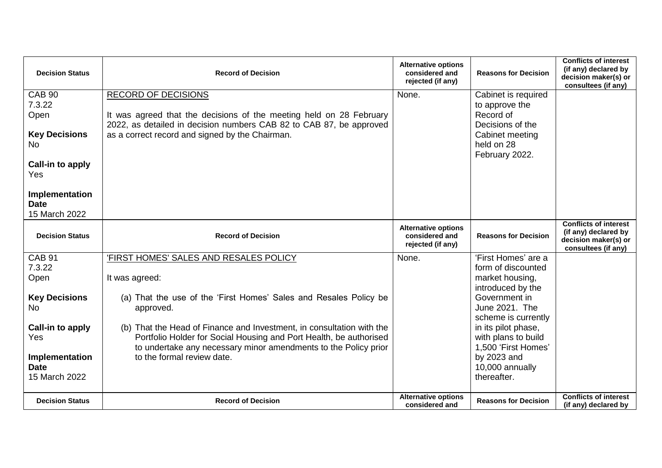| <b>Decision Status</b>                                                                                      | <b>Record of Decision</b>                                                                                                                                                                                                   | <b>Alternative options</b><br>considered and<br>rejected (if any) | <b>Reasons for Decision</b>                                                                                               | <b>Conflicts of interest</b><br>(if any) declared by<br>decision maker(s) or<br>consultees (if any) |
|-------------------------------------------------------------------------------------------------------------|-----------------------------------------------------------------------------------------------------------------------------------------------------------------------------------------------------------------------------|-------------------------------------------------------------------|---------------------------------------------------------------------------------------------------------------------------|-----------------------------------------------------------------------------------------------------|
| <b>CAB 90</b><br>7.3.22<br>Open<br><b>Key Decisions</b><br>No.<br>Call-in to apply<br>Yes<br>Implementation | <b>RECORD OF DECISIONS</b><br>It was agreed that the decisions of the meeting held on 28 February<br>2022, as detailed in decision numbers CAB 82 to CAB 87, be approved<br>as a correct record and signed by the Chairman. | None.                                                             | Cabinet is required<br>to approve the<br>Record of<br>Decisions of the<br>Cabinet meeting<br>held on 28<br>February 2022. |                                                                                                     |
| <b>Date</b><br>15 March 2022                                                                                |                                                                                                                                                                                                                             |                                                                   |                                                                                                                           |                                                                                                     |
| <b>Decision Status</b>                                                                                      | <b>Record of Decision</b>                                                                                                                                                                                                   | <b>Alternative options</b><br>considered and<br>rejected (if any) | <b>Reasons for Decision</b>                                                                                               | <b>Conflicts of interest</b><br>(if any) declared by<br>decision maker(s) or<br>consultees (if any) |
| <b>CAB 91</b><br>7.3.22<br>Open                                                                             | 'FIRST HOMES' SALES AND RESALES POLICY<br>It was agreed:                                                                                                                                                                    | None.                                                             | 'First Homes' are a<br>form of discounted<br>market housing,                                                              |                                                                                                     |
| <b>Key Decisions</b><br>No.                                                                                 | (a) That the use of the 'First Homes' Sales and Resales Policy be<br>approved.                                                                                                                                              |                                                                   | introduced by the<br>Government in<br>June 2021. The<br>scheme is currently                                               |                                                                                                     |
| Call-in to apply<br>Yes                                                                                     | (b) That the Head of Finance and Investment, in consultation with the<br>Portfolio Holder for Social Housing and Port Health, be authorised                                                                                 |                                                                   | in its pilot phase,                                                                                                       |                                                                                                     |
|                                                                                                             |                                                                                                                                                                                                                             |                                                                   | with plans to build                                                                                                       |                                                                                                     |
| Implementation<br><b>Date</b><br>15 March 2022                                                              | to undertake any necessary minor amendments to the Policy prior<br>to the formal review date.                                                                                                                               | <b>Alternative options</b>                                        | 1,500 'First Homes'<br>by 2023 and<br>10,000 annually<br>thereafter.                                                      | <b>Conflicts of interest</b>                                                                        |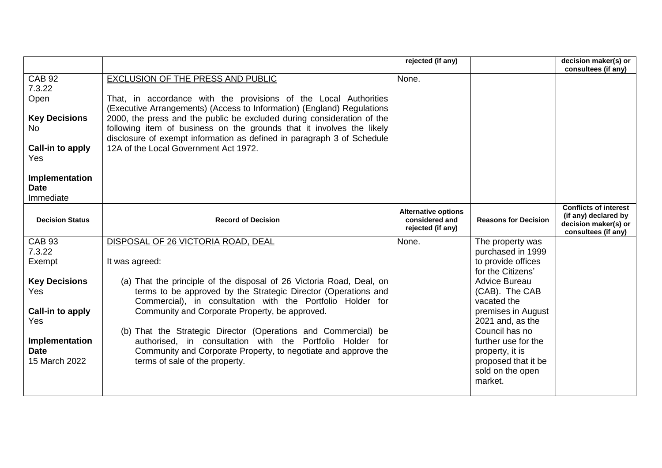|                                                                                                                                                |                                                                                                                                                                                                                                                                                                                                                                                                                                                       | rejected (if any)                                                 |                                                                                                                | decision maker(s) or<br>consultees (if any)                                                         |
|------------------------------------------------------------------------------------------------------------------------------------------------|-------------------------------------------------------------------------------------------------------------------------------------------------------------------------------------------------------------------------------------------------------------------------------------------------------------------------------------------------------------------------------------------------------------------------------------------------------|-------------------------------------------------------------------|----------------------------------------------------------------------------------------------------------------|-----------------------------------------------------------------------------------------------------|
| <b>CAB 92</b><br>7.3.22<br>Open<br><b>Key Decisions</b><br>No.<br>Call-in to apply<br><b>Yes</b><br>Implementation<br><b>Date</b><br>Immediate | EXCLUSION OF THE PRESS AND PUBLIC<br>That, in accordance with the provisions of the Local Authorities<br>(Executive Arrangements) (Access to Information) (England) Regulations<br>2000, the press and the public be excluded during consideration of the<br>following item of business on the grounds that it involves the likely<br>disclosure of exempt information as defined in paragraph 3 of Schedule<br>12A of the Local Government Act 1972. | None.                                                             |                                                                                                                |                                                                                                     |
| <b>Decision Status</b>                                                                                                                         | <b>Record of Decision</b>                                                                                                                                                                                                                                                                                                                                                                                                                             | <b>Alternative options</b><br>considered and<br>rejected (if any) | <b>Reasons for Decision</b>                                                                                    | <b>Conflicts of interest</b><br>(if any) declared by<br>decision maker(s) or<br>consultees (if any) |
| <b>CAB 93</b><br>7.3.22                                                                                                                        | DISPOSAL OF 26 VICTORIA ROAD, DEAL                                                                                                                                                                                                                                                                                                                                                                                                                    | None.                                                             | The property was<br>purchased in 1999                                                                          |                                                                                                     |
| Exempt                                                                                                                                         | It was agreed:                                                                                                                                                                                                                                                                                                                                                                                                                                        |                                                                   | to provide offices<br>for the Citizens'                                                                        |                                                                                                     |
| <b>Key Decisions</b><br><b>Yes</b>                                                                                                             | (a) That the principle of the disposal of 26 Victoria Road, Deal, on<br>terms to be approved by the Strategic Director (Operations and<br>Commercial), in consultation with the Portfolio Holder for                                                                                                                                                                                                                                                  |                                                                   | <b>Advice Bureau</b><br>(CAB). The CAB<br>vacated the                                                          |                                                                                                     |
| Call-in to apply<br>Yes                                                                                                                        | Community and Corporate Property, be approved.                                                                                                                                                                                                                                                                                                                                                                                                        |                                                                   | premises in August<br>2021 and, as the                                                                         |                                                                                                     |
| Implementation<br><b>Date</b><br>15 March 2022                                                                                                 | (b) That the Strategic Director (Operations and Commercial) be<br>authorised, in consultation with the Portfolio Holder for<br>Community and Corporate Property, to negotiate and approve the<br>terms of sale of the property.                                                                                                                                                                                                                       |                                                                   | Council has no<br>further use for the<br>property, it is<br>proposed that it be<br>sold on the open<br>market. |                                                                                                     |